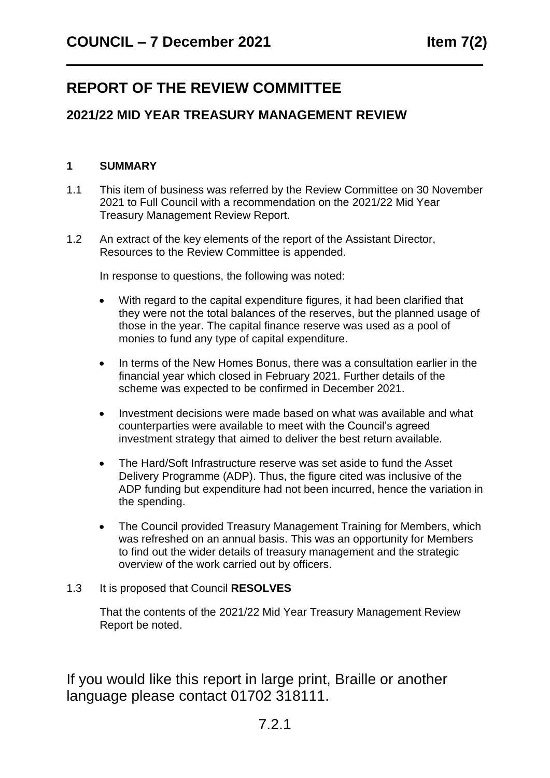# **REPORT OF THE REVIEW COMMITTEE**

# **2021/22 MID YEAR TREASURY MANAGEMENT REVIEW**

# **1 SUMMARY**

- 1.1 This item of business was referred by the Review Committee on 30 November 2021 to Full Council with a recommendation on the 2021/22 Mid Year Treasury Management Review Report.
- 1.2 An extract of the key elements of the report of the Assistant Director, Resources to the Review Committee is appended.

In response to questions, the following was noted:

- With regard to the capital expenditure figures, it had been clarified that they were not the total balances of the reserves, but the planned usage of those in the year. The capital finance reserve was used as a pool of monies to fund any type of capital expenditure.
- In terms of the New Homes Bonus, there was a consultation earlier in the financial year which closed in February 2021. Further details of the scheme was expected to be confirmed in December 2021.
- Investment decisions were made based on what was available and what counterparties were available to meet with the Council's agreed investment strategy that aimed to deliver the best return available.
- The Hard/Soft Infrastructure reserve was set aside to fund the Asset Delivery Programme (ADP). Thus, the figure cited was inclusive of the ADP funding but expenditure had not been incurred, hence the variation in the spending.
- The Council provided Treasury Management Training for Members, which was refreshed on an annual basis. This was an opportunity for Members to find out the wider details of treasury management and the strategic overview of the work carried out by officers.

# 1.3 It is proposed that Council **RESOLVES**

That the contents of the 2021/22 Mid Year Treasury Management Review Report be noted.

If you would like this report in large print, Braille or another language please contact 01702 318111.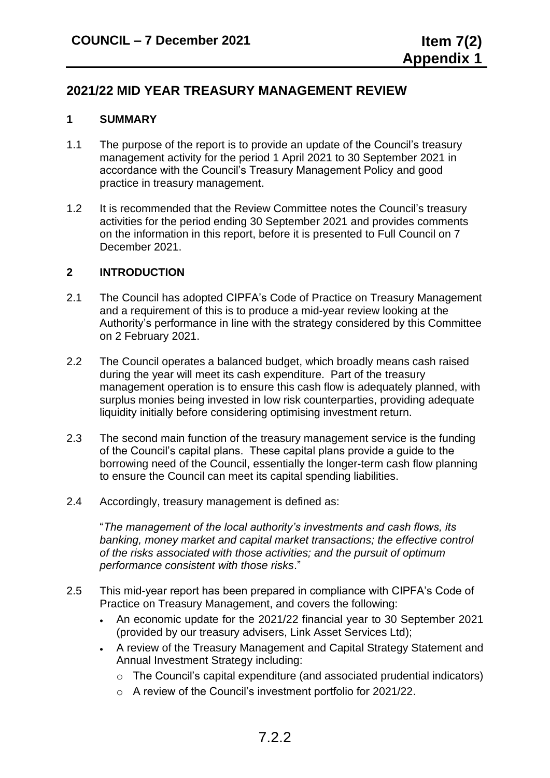# **2021/22 MID YEAR TREASURY MANAGEMENT REVIEW**

# **1 SUMMARY**

- 1.1 The purpose of the report is to provide an update of the Council's treasury management activity for the period 1 April 2021 to 30 September 2021 in accordance with the Council's Treasury Management Policy and good practice in treasury management.
- 1.2 It is recommended that the Review Committee notes the Council's treasury activities for the period ending 30 September 2021 and provides comments on the information in this report, before it is presented to Full Council on 7 December 2021.

#### **2 INTRODUCTION**

- 2.1 The Council has adopted CIPFA's Code of Practice on Treasury Management and a requirement of this is to produce a mid-year review looking at the Authority's performance in line with the strategy considered by this Committee on 2 February 2021.
- 2.2 The Council operates a balanced budget, which broadly means cash raised during the year will meet its cash expenditure. Part of the treasury management operation is to ensure this cash flow is adequately planned, with surplus monies being invested in low risk counterparties, providing adequate liquidity initially before considering optimising investment return.
- 2.3 The second main function of the treasury management service is the funding of the Council's capital plans. These capital plans provide a guide to the borrowing need of the Council, essentially the longer-term cash flow planning to ensure the Council can meet its capital spending liabilities.
- 2.4 Accordingly, treasury management is defined as:

"*The management of the local authority's investments and cash flows, its banking, money market and capital market transactions; the effective control of the risks associated with those activities; and the pursuit of optimum performance consistent with those risks*."

- 2.5 This mid-year report has been prepared in compliance with CIPFA's Code of Practice on Treasury Management, and covers the following:
	- An economic update for the 2021/22 financial year to 30 September 2021 (provided by our treasury advisers, Link Asset Services Ltd);
	- A review of the Treasury Management and Capital Strategy Statement and Annual Investment Strategy including:
		- o The Council's capital expenditure (and associated prudential indicators)
		- o A review of the Council's investment portfolio for 2021/22.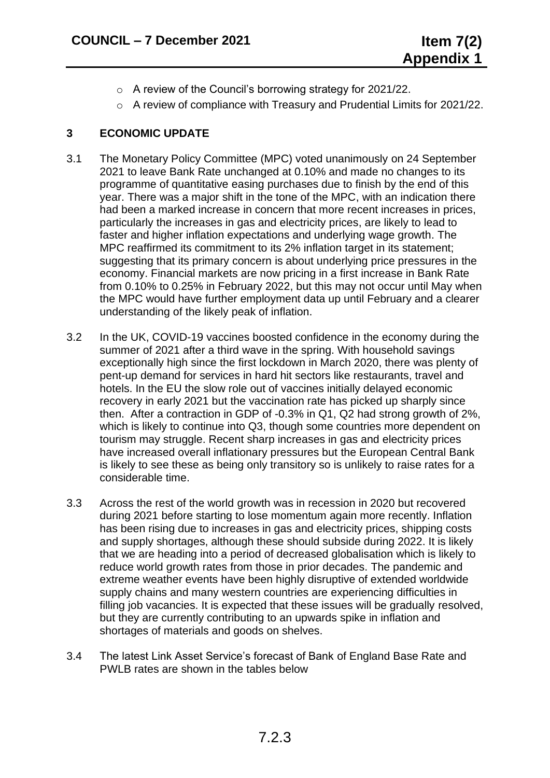- o A review of the Council's borrowing strategy for 2021/22.
- o A review of compliance with Treasury and Prudential Limits for 2021/22.

# **3 ECONOMIC UPDATE**

- 3.1 The Monetary Policy Committee (MPC) voted unanimously on 24 September 2021 to leave Bank Rate unchanged at 0.10% and made no changes to its programme of quantitative easing purchases due to finish by the end of this year. There was a major shift in the tone of the MPC, with an indication there had been a marked increase in concern that more recent increases in prices, particularly the increases in gas and electricity prices, are likely to lead to faster and higher inflation expectations and underlying wage growth. The MPC reaffirmed its commitment to its 2% inflation target in its statement; suggesting that its primary concern is about underlying price pressures in the economy. Financial markets are now pricing in a first increase in Bank Rate from 0.10% to 0.25% in February 2022, but this may not occur until May when the MPC would have further employment data up until February and a clearer understanding of the likely peak of inflation.
- 3.2 In the UK, COVID-19 vaccines boosted confidence in the economy during the summer of 2021 after a third wave in the spring. With household savings exceptionally high since the first lockdown in March 2020, there was plenty of pent-up demand for services in hard hit sectors like restaurants, travel and hotels. In the EU the slow role out of vaccines initially delayed economic recovery in early 2021 but the vaccination rate has picked up sharply since then. After a contraction in GDP of -0.3% in Q1, Q2 had strong growth of 2%, which is likely to continue into Q3, though some countries more dependent on tourism may struggle. Recent sharp increases in gas and electricity prices have increased overall inflationary pressures but the European Central Bank is likely to see these as being only transitory so is unlikely to raise rates for a considerable time.
- 3.3 Across the rest of the world growth was in recession in 2020 but recovered during 2021 before starting to lose momentum again more recently. Inflation has been rising due to increases in gas and electricity prices, shipping costs and supply shortages, although these should subside during 2022. It is likely that we are heading into a period of decreased globalisation which is likely to reduce world growth rates from those in prior decades. The pandemic and extreme weather events have been highly disruptive of extended worldwide supply chains and many western countries are experiencing difficulties in filling job vacancies. It is expected that these issues will be gradually resolved, but they are currently contributing to an upwards spike in inflation and shortages of materials and goods on shelves.
- 3.4 The latest Link Asset Service's forecast of Bank of England Base Rate and PWLB rates are shown in the tables below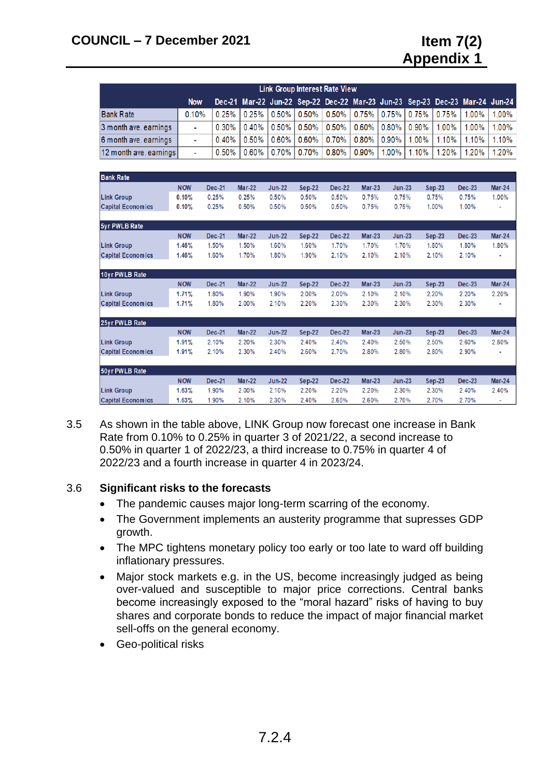| <b>Link Group Interest Rate View</b> |            |          |                                                                                  |  |  |  |  |  |  |                                                                                          |          |
|--------------------------------------|------------|----------|----------------------------------------------------------------------------------|--|--|--|--|--|--|------------------------------------------------------------------------------------------|----------|
|                                      | <b>Now</b> |          |                                                                                  |  |  |  |  |  |  | Dec-21 Mar-22 Jun-22 Sep-22 Dec-22 Mar-23 Jun-23 Sep-23 Dec-23 Mar-24 Jun-24             |          |
| <b>Bank Rate</b>                     | 0.10%      |          |                                                                                  |  |  |  |  |  |  | $0.25\%$   0.25%   0.50%   0.50%   0.50%   0.75%   0.75%   0.75%   0.75%   1.00%   1.00% |          |
| 3 month ave, earnings                | ۰          | $0.30\%$ |                                                                                  |  |  |  |  |  |  | 0.40%   0.50%   0.50%   0.50%   0.60%   0.80%   0.90%   1.00%   1.00%                    | $1.00\%$ |
| 6 month ave, earnings                | ÷          |          | $0.40\%$   0.50%   0.60%   0.60%   0.70%   0.80%   0.90%   1.00%   1.10%   1.10% |  |  |  |  |  |  |                                                                                          | $1.10\%$ |
| 12 month ave, earnings               | ۰.         |          | $0.50\%$   0.60%   0.70%   0.70%   0.80%   0.90%   1.00%   1.10%   1.20%   1.20% |  |  |  |  |  |  |                                                                                          | $1.20\%$ |

| <b>Bank Rate</b>         |            |               |               |               |               |               |               |          |               |               |        |
|--------------------------|------------|---------------|---------------|---------------|---------------|---------------|---------------|----------|---------------|---------------|--------|
|                          | <b>NOW</b> | <b>Dec-21</b> | <b>Mar-22</b> | $Jun-22$      | Sep-22        | <b>Dec-22</b> | <b>Mar-23</b> | $Jun-23$ | $Sep-23$      | <b>Dec-23</b> | Mar-24 |
| <b>Link Group</b>        | 0.10%      | 0.25%         | 0.25%         | 0.50%         | 0.50%         | 0.50%         | 0.75%         | 0.75%    | 0.75%         | 0.75%         | 1.00%  |
| <b>Capital Economics</b> | 0.10%      | 0.25%         | 0.50%         | 0.50%         | 0.50%         | 0.50%         | 0.75%         | 0.75%    | 1.00%         | 1.00%         |        |
| 5yr PWLB Rate            |            |               |               |               |               |               |               |          |               |               |        |
|                          | <b>NOW</b> | <b>Dec-21</b> | <b>Mar-22</b> | <b>Jun-22</b> | <b>Sep-22</b> | <b>Dec-22</b> | <b>Mar-23</b> | $Jun-23$ | <b>Sep-23</b> | <b>Dec-23</b> | Mar-24 |
| <b>Link Group</b>        | 1.46%      | 1.50%         | 1.50%         | 1.60%         | 1.60%         | 1.70%         | 1.70%         | 1.70%    | 1.80%         | 1.80%         | 1.80%  |
| <b>Capital Economics</b> | 1.46%      | 1.60%         | 1.70%         | 1.80%         | 1.90%         | 2.10%         | 2.10%         | 2.10%    | 2.10%         | 2.10%         |        |
| 10yr PWLB Rate           |            |               |               |               |               |               |               |          |               |               |        |
|                          | <b>NOW</b> | <b>Dec-21</b> | <b>Mar-22</b> | $Jun-22$      | $Sep-22$      | Dec-22        | $Mar-23$      | $Jun-23$ | <b>Sep-23</b> | <b>Dec-23</b> | Mar-24 |
| <b>Link Group</b>        | 1.71%      | 1.80%         | 1.90%         | 1.90%         | 2.00%         | 2.00%         | 2.10%         | 2.10%    | 2.20%         | 2.20%         | 2.20%  |
| <b>Capital Economics</b> | 1.71%      | 1.80%         | 2.00%         | 2.10%         | 2.20%         | 2.30%         | 2.30%         | 2.30%    | 2.30%         | 2.30%         |        |
| 25yr PWLB Rate           |            |               |               |               |               |               |               |          |               |               |        |
|                          | <b>NOW</b> | Dec-21        | <b>Mar-22</b> | <b>Jun-22</b> | Sep-22        | <b>Dec-22</b> | <b>Mar-23</b> | $Jun-23$ | <b>Sep-23</b> | <b>Dec-23</b> | Mar-24 |
| <b>Link Group</b>        | 1.91%      | 2.10%         | 2.20%         | 2.30%         | 2.40%         | 2.40%         | 2.40%         | 2.50%    | 2.50%         | 2.60%         | 2.60%  |
| <b>Capital Economics</b> | 1.91%      | 2.10%         | 2.30%         | 2.40%         | 2.60%         | 2.70%         | 2.80%         | 2.80%    | 2.80%         | 2.90%         |        |
| 50yr PWLB Rate           |            |               |               |               |               |               |               |          |               |               |        |
|                          | <b>NOW</b> | <b>Dec-21</b> | <b>Mar-22</b> | $Jun-22$      | Sep-22        | <b>Dec-22</b> | $Mar-23$      | $Jun-23$ | <b>Sep-23</b> | <b>Dec-23</b> | Mar-24 |
| <b>Link Group</b>        | 1.63%      | 1.90%         | $2.00\%$      | 2.10%         | 2.20%         | 2.20%         | 2.20%         | 2.30%    | 2.30%         | 2.40%         | 2.40%  |
| <b>Capital Economics</b> | 1.63%      | 1.90%         | 2.10%         | 2.30%         | 2.40%         | 2.60%         | 2.60%         | 2.70%    | 2.70%         | 2.70%         |        |

3.5 As shown in the table above, LINK Group now forecast one increase in Bank Rate from 0.10% to 0.25% in quarter 3 of 2021/22, a second increase to 0.50% in quarter 1 of 2022/23, a third increase to 0.75% in quarter 4 of 2022/23 and a fourth increase in quarter 4 in 2023/24.

# 3.6 **Significant risks to the forecasts**

- The pandemic causes major long-term scarring of the economy.
- The Government implements an austerity programme that supresses GDP growth.
- The MPC tightens monetary policy too early or too late to ward off building inflationary pressures.
- Major stock markets e.g. in the US, become increasingly judged as being over-valued and susceptible to major price corrections. Central banks become increasingly exposed to the "moral hazard" risks of having to buy shares and corporate bonds to reduce the impact of major financial market sell-offs on the general economy.
- Geo-political risks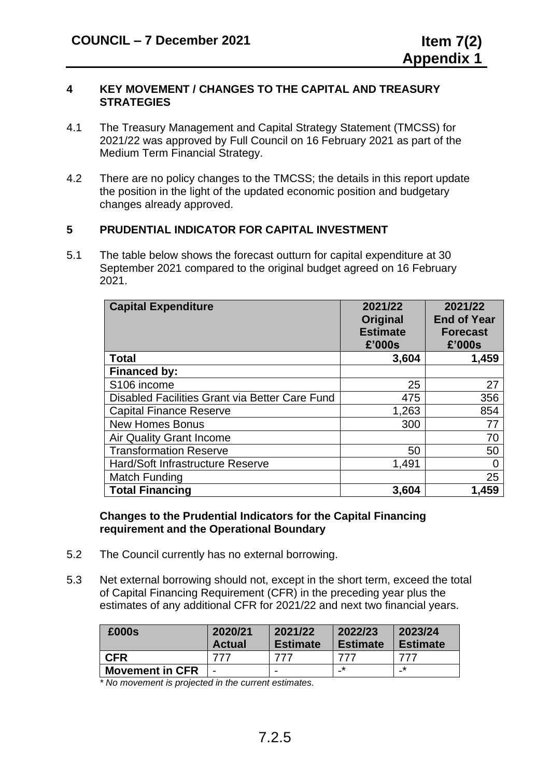#### **4 KEY MOVEMENT / CHANGES TO THE CAPITAL AND TREASURY STRATEGIES**

- 4.1 The Treasury Management and Capital Strategy Statement (TMCSS) for 2021/22 was approved by Full Council on 16 February 2021 as part of the Medium Term Financial Strategy.
- 4.2 There are no policy changes to the TMCSS; the details in this report update the position in the light of the updated economic position and budgetary changes already approved.

# **5 PRUDENTIAL INDICATOR FOR CAPITAL INVESTMENT**

5.1 The table below shows the forecast outturn for capital expenditure at 30 September 2021 compared to the original budget agreed on 16 February 2021.

| <b>Capital Expenditure</b>                     | 2021/22<br>Original<br><b>Estimate</b><br>£'000s | 2021/22<br><b>End of Year</b><br><b>Forecast</b><br>£'000s |
|------------------------------------------------|--------------------------------------------------|------------------------------------------------------------|
| <b>Total</b>                                   | 3,604                                            | 1,459                                                      |
| <b>Financed by:</b>                            |                                                  |                                                            |
| S <sub>106</sub> income                        | 25                                               | 27                                                         |
| Disabled Facilities Grant via Better Care Fund | 475                                              | 356                                                        |
| <b>Capital Finance Reserve</b>                 | 1,263                                            | 854                                                        |
| <b>New Homes Bonus</b>                         | 300                                              | 77                                                         |
| <b>Air Quality Grant Income</b>                |                                                  | 70                                                         |
| <b>Transformation Reserve</b>                  | 50                                               | 50                                                         |
| Hard/Soft Infrastructure Reserve               | 1,491                                            |                                                            |
| Match Funding                                  |                                                  | 25                                                         |
| <b>Total Financing</b>                         | 3,604                                            | 1,459                                                      |

#### **Changes to the Prudential Indicators for the Capital Financing requirement and the Operational Boundary**

- 5.2 The Council currently has no external borrowing.
- 5.3 Net external borrowing should not, except in the short term, exceed the total of Capital Financing Requirement (CFR) in the preceding year plus the estimates of any additional CFR for 2021/22 and next two financial years.

| £000s                  | 2020/21<br><b>Actual</b> | 2021/22<br><b>Estimate</b> | 2022/23<br><b>Estimate</b> | 2023/24<br><b>Estimate</b> |
|------------------------|--------------------------|----------------------------|----------------------------|----------------------------|
| <b>CFR</b>             |                          |                            |                            | 777                        |
| <b>Movement in CFR</b> | -                        | $\overline{\phantom{0}}$   | *                          | *<br>-                     |

*\* No movement is projected in the current estimates.*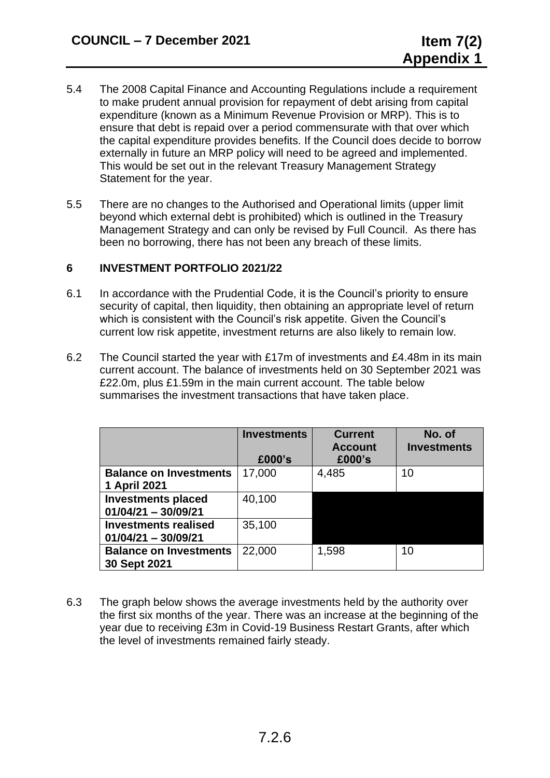- 5.4 The 2008 Capital Finance and Accounting Regulations include a requirement to make prudent annual provision for repayment of debt arising from capital expenditure (known as a Minimum Revenue Provision or MRP). This is to ensure that debt is repaid over a period commensurate with that over which the capital expenditure provides benefits. If the Council does decide to borrow externally in future an MRP policy will need to be agreed and implemented. This would be set out in the relevant Treasury Management Strategy Statement for the year.
- 5.5 There are no changes to the Authorised and Operational limits (upper limit beyond which external debt is prohibited) which is outlined in the Treasury Management Strategy and can only be revised by Full Council. As there has been no borrowing, there has not been any breach of these limits.

# **6 INVESTMENT PORTFOLIO 2021/22**

- 6.1 In accordance with the Prudential Code, it is the Council's priority to ensure security of capital, then liquidity, then obtaining an appropriate level of return which is consistent with the Council's risk appetite. Given the Council's current low risk appetite, investment returns are also likely to remain low.
- 6.2 The Council started the year with £17m of investments and £4.48m in its main current account. The balance of investments held on 30 September 2021 was £22.0m, plus £1.59m in the main current account. The table below summarises the investment transactions that have taken place.

|                                                      | <b>Investments</b><br>£000's | <b>Current</b><br><b>Account</b><br>£000's | No. of<br><b>Investments</b> |
|------------------------------------------------------|------------------------------|--------------------------------------------|------------------------------|
| <b>Balance on Investments</b><br>1 April 2021        | 17,000                       | 4,485                                      | 10                           |
| <b>Investments placed</b><br>$01/04/21 - 30/09/21$   | 40,100                       |                                            |                              |
| <b>Investments realised</b><br>$01/04/21 - 30/09/21$ | 35,100                       |                                            |                              |
| <b>Balance on Investments</b><br>30 Sept 2021        | 22,000                       | 1,598                                      | 10                           |

6.3 The graph below shows the average investments held by the authority over the first six months of the year. There was an increase at the beginning of the year due to receiving £3m in Covid-19 Business Restart Grants, after which the level of investments remained fairly steady.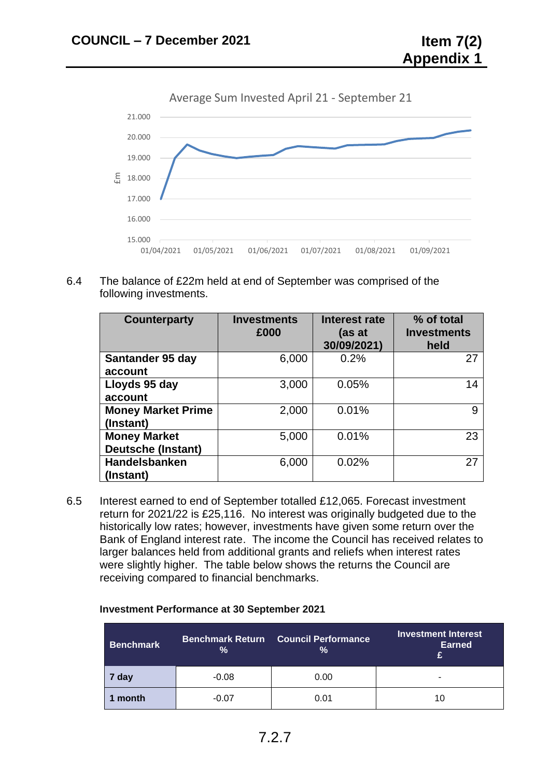



6.4 The balance of £22m held at end of September was comprised of the following investments.

| <b>Counterparty</b>       | <b>Investments</b><br>£000 | Interest rate<br>(as at<br>30/09/2021) | % of total<br><b>Investments</b><br>held |
|---------------------------|----------------------------|----------------------------------------|------------------------------------------|
| Santander 95 day          | 6,000                      | 0.2%                                   | 27                                       |
| account                   |                            |                                        |                                          |
| Lloyds 95 day             | 3,000                      | 0.05%                                  | 14                                       |
| account                   |                            |                                        |                                          |
| <b>Money Market Prime</b> | 2,000                      | 0.01%                                  | 9                                        |
| (Instant)                 |                            |                                        |                                          |
| <b>Money Market</b>       | 5,000                      | 0.01%                                  | 23                                       |
| <b>Deutsche (Instant)</b> |                            |                                        |                                          |
| Handelsbanken             | 6,000                      | 0.02%                                  | 27                                       |
| (Instant)                 |                            |                                        |                                          |

6.5 Interest earned to end of September totalled £12,065. Forecast investment return for 2021/22 is £25,116. No interest was originally budgeted due to the historically low rates; however, investments have given some return over the Bank of England interest rate. The income the Council has received relates to larger balances held from additional grants and reliefs when interest rates were slightly higher. The table below shows the returns the Council are receiving compared to financial benchmarks.

#### **Investment Performance at 30 September 2021**

| Benchmark | <b>Benchmark Return</b><br>% | <b>Council Performance</b><br>% | Investment Interest<br><b>Earned</b><br>с |  |  |
|-----------|------------------------------|---------------------------------|-------------------------------------------|--|--|
| 7 day     | $-0.08$                      | 0.00                            |                                           |  |  |
| month     | $-0.07$                      | 0.01                            | 10                                        |  |  |